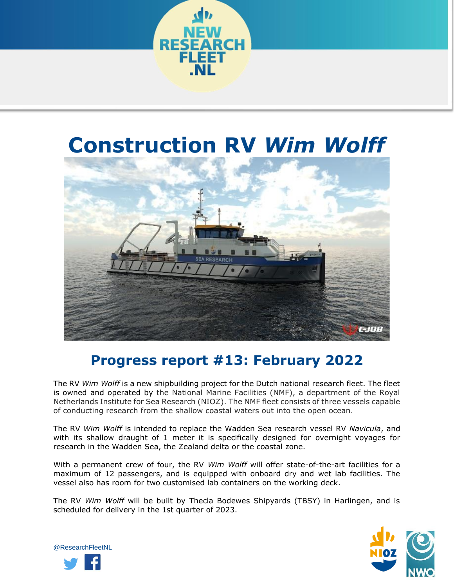

## **Construction RV** *Wim Wolff*



## **Progress report #13: February 2022**

The RV *Wim Wolff* is a new shipbuilding project for the Dutch national research fleet. The fleet is owned and operated by the National Marine Facilities (NMF), a department of the Royal Netherlands Institute for Sea Research (NIOZ). The NMF fleet consists of three vessels capable of conducting research from the shallow coastal waters out into the open ocean.

The RV *Wim Wolff* is intended to replace the Wadden Sea research vessel RV *Navicula*, and with its shallow draught of 1 meter it is specifically designed for overnight voyages for research in the Wadden Sea, the Zealand delta or the coastal zone.

With a permanent crew of four, the RV *Wim Wolff* will offer state-of-the-art facilities for a maximum of 12 passengers, and is equipped with onboard dry and wet lab facilities. The vessel also has room for two customised lab containers on the working deck.

The RV *Wim Wolff* will be built by Thecla Bodewes Shipyards (TBSY) in Harlingen, and is scheduled for delivery in the 1st quarter of 2023.



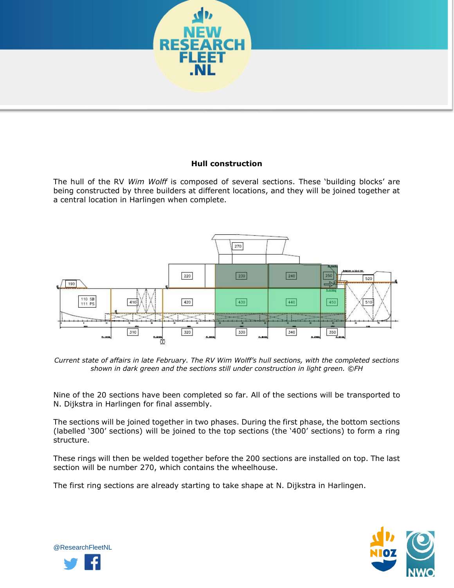

## **Hull construction**

The hull of the RV *Wim Wolff* is composed of several sections. These 'building blocks' are being constructed by three builders at different locations, and they will be joined together at a central location in Harlingen when complete.



*Current state of affairs in late February. The RV Wim Wolff's hull sections, with the completed sections shown in dark green and the sections still under construction in light green. ©FH*

Nine of the 20 sections have been completed so far. All of the sections will be transported to N. Dijkstra in Harlingen for final assembly.

The sections will be joined together in two phases. During the first phase, the bottom sections (labelled '300' sections) will be joined to the top sections (the '400' sections) to form a ring structure.

These rings will then be welded together before the 200 sections are installed on top. The last section will be number 270, which contains the wheelhouse.

The first ring sections are already starting to take shape at N. Dijkstra in Harlingen.



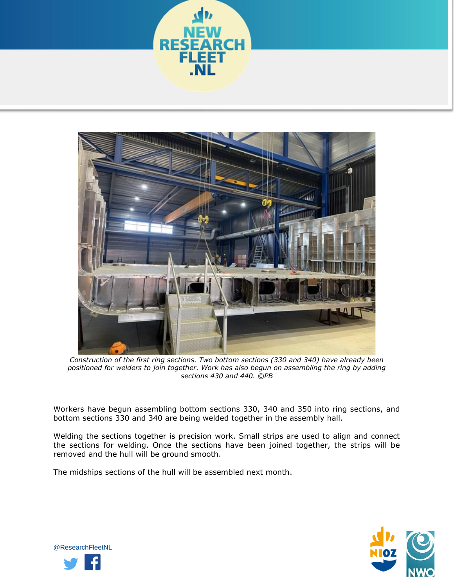



*Construction of the first ring sections. Two bottom sections (330 and 340) have already been positioned for welders to join together. Work has also begun on assembling the ring by adding sections 430 and 440. ©PB*

Workers have begun assembling bottom sections 330, 340 and 350 into ring sections, and bottom sections 330 and 340 are being welded together in the assembly hall.

Welding the sections together is precision work. Small strips are used to align and connect the sections for welding. Once the sections have been joined together, the strips will be removed and the hull will be ground smooth.

The midships sections of the hull will be assembled next month.



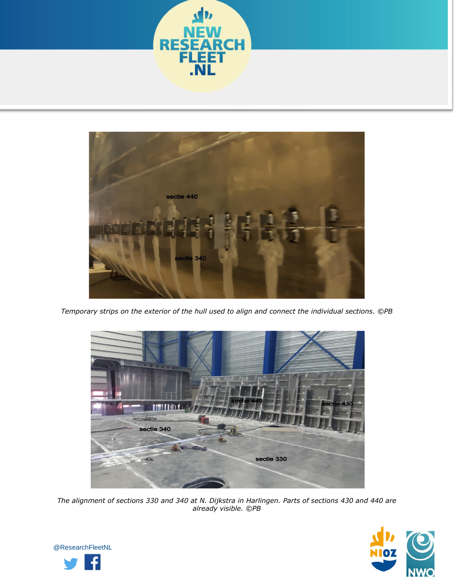



*Temporary strips on the exterior of the hull used to align and connect the individual sections. ©PB*



*The alignment of sections 330 and 340 at N. Dijkstra in Harlingen. Parts of sections 430 and 440 are already visible. ©PB*